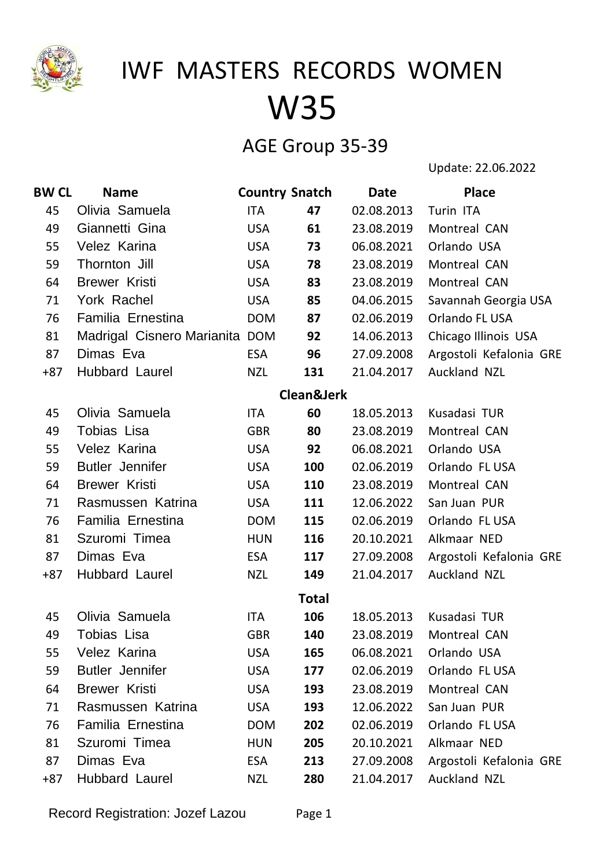

### AGE Group 35-39

Update: 22.06.2022

| <b>BW CL</b> | <b>Name</b>                    | <b>Country Snatch</b> |                       | <b>Date</b> | <b>Place</b>            |
|--------------|--------------------------------|-----------------------|-----------------------|-------------|-------------------------|
| 45           | Olivia Samuela                 | ITA                   | 47                    | 02.08.2013  | Turin ITA               |
| 49           | Giannetti Gina                 | <b>USA</b>            | 61                    | 23.08.2019  | Montreal CAN            |
| 55           | Velez Karina                   | <b>USA</b>            | 73                    | 06.08.2021  | Orlando USA             |
| 59           | Thornton Jill                  | <b>USA</b>            | 78                    | 23.08.2019  | Montreal CAN            |
| 64           | <b>Brewer Kristi</b>           | <b>USA</b>            | 83                    | 23.08.2019  | Montreal CAN            |
| 71           | York Rachel                    | <b>USA</b>            | 85                    | 04.06.2015  | Savannah Georgia USA    |
| 76           | Familia Ernestina              | <b>DOM</b>            | 87                    | 02.06.2019  | Orlando FL USA          |
| 81           | Madrigal Cisnero Marianita DOM |                       | 92                    | 14.06.2013  | Chicago Illinois USA    |
| 87           | Dimas Eva                      | <b>ESA</b>            | 96                    | 27.09.2008  | Argostoli Kefalonia GRE |
| $+87$        | Hubbard Laurel                 | <b>NZL</b>            | 131                   | 21.04.2017  | Auckland NZL            |
|              |                                |                       | <b>Clean&amp;Jerk</b> |             |                         |
| 45           | Olivia Samuela                 | <b>ITA</b>            | 60                    | 18.05.2013  | Kusadasi TUR            |
| 49           | Tobias Lisa                    | <b>GBR</b>            | 80                    | 23.08.2019  | Montreal CAN            |
| 55           | Velez Karina                   | <b>USA</b>            | 92                    | 06.08.2021  | Orlando USA             |
| 59           | <b>Butler Jennifer</b>         | <b>USA</b>            | 100                   | 02.06.2019  | Orlando FL USA          |
| 64           | <b>Brewer Kristi</b>           | <b>USA</b>            | 110                   | 23.08.2019  | Montreal CAN            |
| 71           | Rasmussen Katrina              | <b>USA</b>            | 111                   | 12.06.2022  | San Juan PUR            |
| 76           | Familia Ernestina              | <b>DOM</b>            | 115                   | 02.06.2019  | Orlando FL USA          |
| 81           | Szuromi Timea                  | <b>HUN</b>            | 116                   | 20.10.2021  | Alkmaar NED             |
| 87           | Dimas Eva                      | <b>ESA</b>            | 117                   | 27.09.2008  | Argostoli Kefalonia GRE |
| $+87$        | Hubbard Laurel                 | <b>NZL</b>            | 149                   | 21.04.2017  | Auckland NZL            |
|              |                                |                       | <b>Total</b>          |             |                         |
| 45           | Olivia Samuela                 | ITA                   | 106                   | 18.05.2013  | Kusadasi TUR            |
| 49           | Tobias Lisa                    | <b>GBR</b>            | 140                   | 23.08.2019  | Montreal CAN            |
| 55           | Velez Karina                   | <b>USA</b>            | 165                   | 06.08.2021  | Orlando USA             |
| 59           | <b>Butler Jennifer</b>         | <b>USA</b>            | 177                   | 02.06.2019  | Orlando FL USA          |
| 64           | <b>Brewer Kristi</b>           | <b>USA</b>            | 193                   | 23.08.2019  | Montreal CAN            |
| 71           | Rasmussen Katrina              | <b>USA</b>            | 193                   | 12.06.2022  | San Juan PUR            |
| 76           | Familia Ernestina              | <b>DOM</b>            | 202                   | 02.06.2019  | Orlando FL USA          |
| 81           | Szuromi Timea                  | <b>HUN</b>            | 205                   | 20.10.2021  | Alkmaar NED             |
| 87           | Dimas Eva                      | <b>ESA</b>            | 213                   | 27.09.2008  | Argostoli Kefalonia GRE |
| $+87$        | Hubbard Laurel                 | <b>NZL</b>            | 280                   | 21.04.2017  | Auckland NZL            |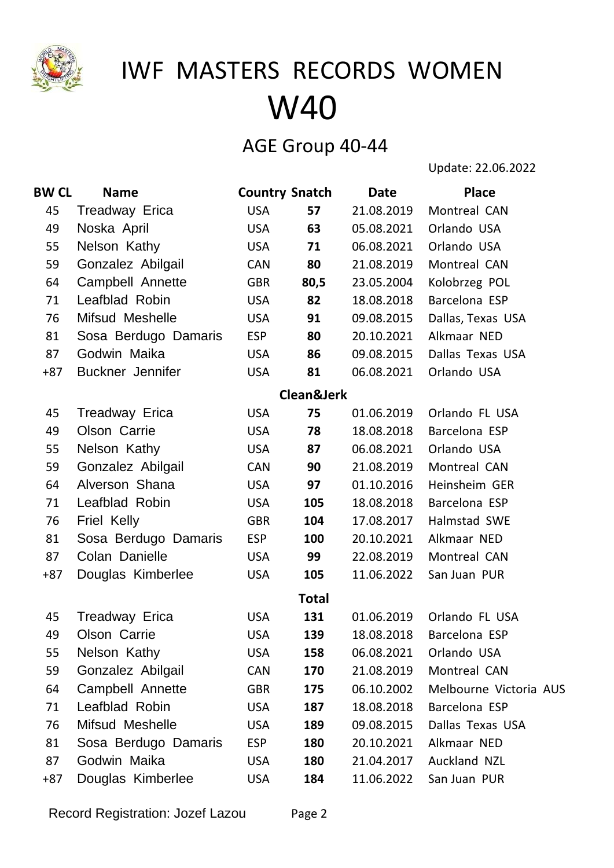

### AGE Group 40-44

Update: 22.06.2022

| <b>BW CL</b> | <b>Name</b>           | <b>Country Snatch</b> |                       | Date       | <b>Place</b>           |
|--------------|-----------------------|-----------------------|-----------------------|------------|------------------------|
| 45           | Treadway Erica        | <b>USA</b>            | 57                    | 21.08.2019 | Montreal CAN           |
| 49           | Noska April           | <b>USA</b>            | 63                    | 05.08.2021 | Orlando USA            |
| 55           | Nelson Kathy          | <b>USA</b>            | 71                    | 06.08.2021 | Orlando USA            |
| 59           | Gonzalez Abilgail     | <b>CAN</b>            | 80                    | 21.08.2019 | Montreal CAN           |
| 64           | Campbell Annette      | <b>GBR</b>            | 80,5                  | 23.05.2004 | Kolobrzeg POL          |
| 71           | Leafblad Robin        | <b>USA</b>            | 82                    | 18.08.2018 | Barcelona ESP          |
| 76           | Mifsud Meshelle       | <b>USA</b>            | 91                    | 09.08.2015 | Dallas, Texas USA      |
| 81           | Sosa Berdugo Damaris  | <b>ESP</b>            | 80                    | 20.10.2021 | Alkmaar NED            |
| 87           | Godwin Maika          | <b>USA</b>            | 86                    | 09.08.2015 | Dallas Texas USA       |
| $+87$        | Buckner Jennifer      | <b>USA</b>            | 81                    | 06.08.2021 | Orlando USA            |
|              |                       |                       | <b>Clean&amp;Jerk</b> |            |                        |
| 45           | <b>Treadway Erica</b> | <b>USA</b>            | 75                    | 01.06.2019 | Orlando FL USA         |
| 49           | Olson Carrie          | <b>USA</b>            | 78                    | 18.08.2018 | Barcelona ESP          |
| 55           | Nelson Kathy          | <b>USA</b>            | 87                    | 06.08.2021 | Orlando USA            |
| 59           | Gonzalez Abilgail     | <b>CAN</b>            | 90                    | 21.08.2019 | Montreal CAN           |
| 64           | Alverson Shana        | <b>USA</b>            | 97                    | 01.10.2016 | Heinsheim GER          |
| 71           | Leafblad Robin        | <b>USA</b>            | 105                   | 18.08.2018 | Barcelona ESP          |
| 76           | <b>Friel Kelly</b>    | <b>GBR</b>            | 104                   | 17.08.2017 | Halmstad SWE           |
| 81           | Sosa Berdugo Damaris  | <b>ESP</b>            | 100                   | 20.10.2021 | Alkmaar NED            |
| 87           | Colan Danielle        | <b>USA</b>            | 99                    | 22.08.2019 | Montreal CAN           |
| $+87$        | Douglas Kimberlee     | <b>USA</b>            | 105                   | 11.06.2022 | San Juan PUR           |
|              |                       |                       | <b>Total</b>          |            |                        |
| 45           | Treadway Erica        | <b>USA</b>            | 131                   | 01.06.2019 | Orlando FL USA         |
| 49           | Olson Carrie          | <b>USA</b>            | 139                   | 18.08.2018 | Barcelona ESP          |
| 55           | Nelson Kathy          | <b>USA</b>            | 158                   | 06.08.2021 | Orlando USA            |
| 59           | Gonzalez Abilgail     | <b>CAN</b>            | 170                   | 21.08.2019 | Montreal CAN           |
| 64           | Campbell Annette      | <b>GBR</b>            | 175                   | 06.10.2002 | Melbourne Victoria AUS |
| 71           | Leafblad Robin        | <b>USA</b>            | 187                   | 18.08.2018 | Barcelona ESP          |
| 76           | Mifsud Meshelle       | <b>USA</b>            | 189                   | 09.08.2015 | Dallas Texas USA       |
| 81           | Sosa Berdugo Damaris  | <b>ESP</b>            | 180                   | 20.10.2021 | Alkmaar NED            |
| 87           | Godwin Maika          | <b>USA</b>            | 180                   | 21.04.2017 | Auckland NZL           |
| $+87$        | Douglas Kimberlee     | <b>USA</b>            | 184                   | 11.06.2022 | San Juan PUR           |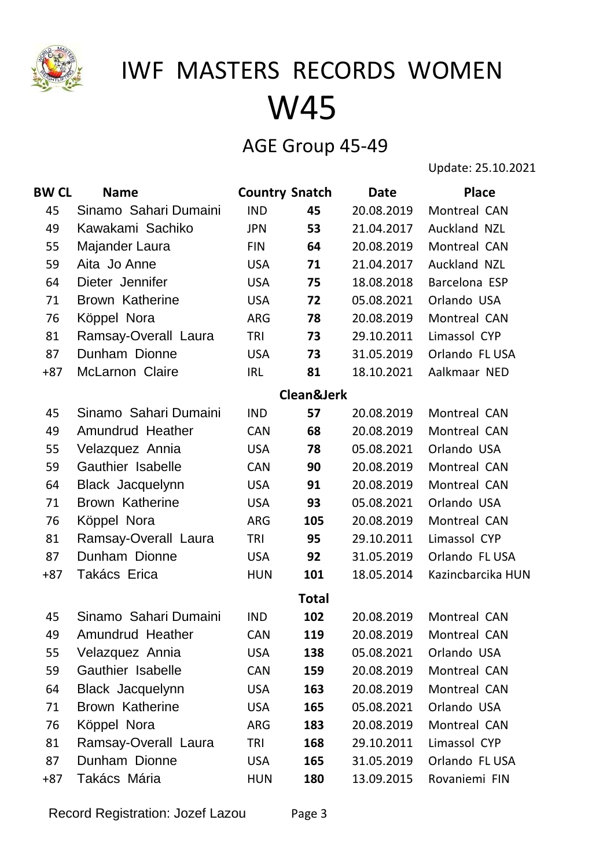

### AGE Group 45-49

Update: 25.10.2021

| <b>BW CL</b> | <b>Name</b>            | <b>Country Snatch</b> |                       | <b>Date</b> | <b>Place</b>      |
|--------------|------------------------|-----------------------|-----------------------|-------------|-------------------|
| 45           | Sinamo Sahari Dumaini  | <b>IND</b>            | 45                    | 20.08.2019  | Montreal CAN      |
| 49           | Kawakami Sachiko       | <b>JPN</b>            | 53                    | 21.04.2017  | Auckland NZL      |
| 55           | Majander Laura         | <b>FIN</b>            | 64                    | 20.08.2019  | Montreal CAN      |
| 59           | Aita Jo Anne           | <b>USA</b>            | 71                    | 21.04.2017  | Auckland NZL      |
| 64           | Dieter Jennifer        | <b>USA</b>            | 75                    | 18.08.2018  | Barcelona ESP     |
| 71           | Brown Katherine        | <b>USA</b>            | 72                    | 05.08.2021  | Orlando USA       |
| 76           | Köppel Nora            | ARG                   | 78                    | 20.08.2019  | Montreal CAN      |
| 81           | Ramsay-Overall Laura   | TRI                   | 73                    | 29.10.2011  | Limassol CYP      |
| 87           | Dunham Dionne          | <b>USA</b>            | 73                    | 31.05.2019  | Orlando FL USA    |
| $+87$        | McLarnon Claire        | <b>IRL</b>            | 81                    | 18.10.2021  | Aalkmaar NED      |
|              |                        |                       | <b>Clean&amp;Jerk</b> |             |                   |
| 45           | Sinamo Sahari Dumaini  | <b>IND</b>            | 57                    | 20.08.2019  | Montreal CAN      |
| 49           | Amundrud Heather       | <b>CAN</b>            | 68                    | 20.08.2019  | Montreal CAN      |
| 55           | Velazquez Annia        | <b>USA</b>            | 78                    | 05.08.2021  | Orlando USA       |
| 59           | Gauthier Isabelle      | <b>CAN</b>            | 90                    | 20.08.2019  | Montreal CAN      |
| 64           | Black Jacquelynn       | <b>USA</b>            | 91                    | 20.08.2019  | Montreal CAN      |
| 71           | <b>Brown Katherine</b> | <b>USA</b>            | 93                    | 05.08.2021  | Orlando USA       |
| 76           | Köppel Nora            | <b>ARG</b>            | 105                   | 20.08.2019  | Montreal CAN      |
| 81           | Ramsay-Overall Laura   | TRI                   | 95                    | 29.10.2011  | Limassol CYP      |
| 87           | Dunham Dionne          | <b>USA</b>            | 92                    | 31.05.2019  | Orlando FL USA    |
| $+87$        | Takács Erica           | <b>HUN</b>            | 101                   | 18.05.2014  | Kazincbarcika HUN |
|              |                        |                       | <b>Total</b>          |             |                   |
| 45           | Sinamo Sahari Dumaini  | <b>IND</b>            | 102                   | 20.08.2019  | Montreal CAN      |
| 49           | Amundrud Heather       | <b>CAN</b>            | 119                   | 20.08.2019  | Montreal CAN      |
| 55           | Velazquez Annia        | <b>USA</b>            | 138                   | 05.08.2021  | Orlando USA       |
| 59           | Gauthier Isabelle      | <b>CAN</b>            | 159                   | 20.08.2019  | Montreal CAN      |
| 64           | Black Jacquelynn       | <b>USA</b>            | 163                   | 20.08.2019  | Montreal CAN      |
| 71           | <b>Brown Katherine</b> | <b>USA</b>            | 165                   | 05.08.2021  | Orlando USA       |
| 76           | Köppel Nora            | ARG                   | 183                   | 20.08.2019  | Montreal CAN      |
| 81           | Ramsay-Overall Laura   | TRI                   | 168                   | 29.10.2011  | Limassol CYP      |
| 87           | Dunham Dionne          | <b>USA</b>            | 165                   | 31.05.2019  | Orlando FL USA    |
| $+87$        | Takács Mária           | <b>HUN</b>            | 180                   | 13.09.2015  | Rovaniemi FIN     |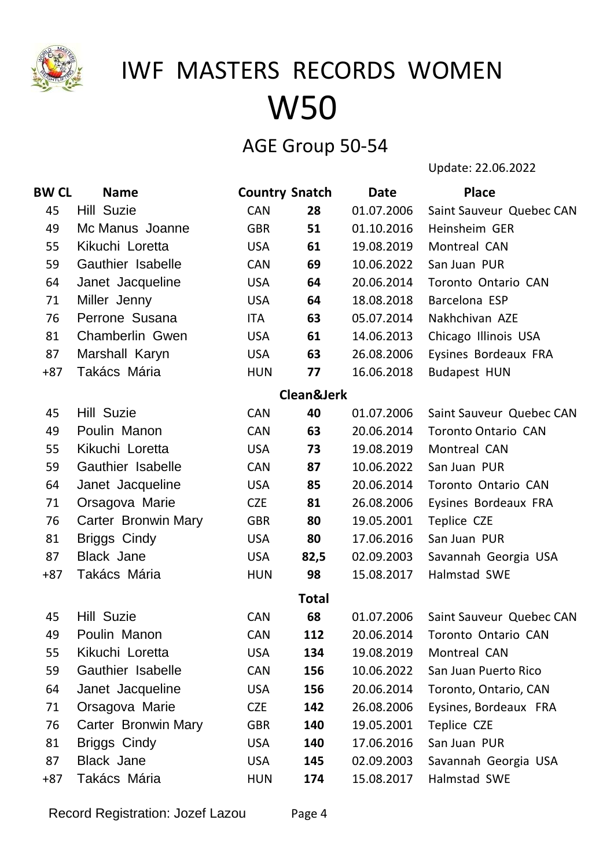

### AGE Group 50-54

Update: 22.06.2022

| <b>BW CL</b> | <b>Name</b>                | <b>Country Snatch</b> |                       | <b>Date</b> | <b>Place</b>               |
|--------------|----------------------------|-----------------------|-----------------------|-------------|----------------------------|
| 45           | <b>Hill Suzie</b>          | <b>CAN</b>            | 28                    | 01.07.2006  | Saint Sauveur Quebec CAN   |
| 49           | Mc Manus Joanne            | <b>GBR</b>            | 51                    | 01.10.2016  | Heinsheim GER              |
| 55           | Kikuchi Loretta            | <b>USA</b>            | 61                    | 19.08.2019  | Montreal CAN               |
| 59           | Gauthier Isabelle          | <b>CAN</b>            | 69                    | 10.06.2022  | San Juan PUR               |
| 64           | Janet Jacqueline           | <b>USA</b>            | 64                    | 20.06.2014  | Toronto Ontario CAN        |
| 71           | Miller Jenny               | <b>USA</b>            | 64                    | 18.08.2018  | Barcelona ESP              |
| 76           | Perrone Susana             | ITA                   | 63                    | 05.07.2014  | Nakhchivan AZE             |
| 81           | Chamberlin Gwen            | <b>USA</b>            | 61                    | 14.06.2013  | Chicago Illinois USA       |
| 87           | Marshall Karyn             | <b>USA</b>            | 63                    | 26.08.2006  | Eysines Bordeaux FRA       |
| $+87$        | Takács Mária               | <b>HUN</b>            | 77                    | 16.06.2018  | <b>Budapest HUN</b>        |
|              |                            |                       | <b>Clean&amp;Jerk</b> |             |                            |
| 45           | Hill Suzie                 | <b>CAN</b>            | 40                    | 01.07.2006  | Saint Sauveur Quebec CAN   |
| 49           | Poulin Manon               | <b>CAN</b>            | 63                    | 20.06.2014  | <b>Toronto Ontario CAN</b> |
| 55           | Kikuchi Loretta            | <b>USA</b>            | 73                    | 19.08.2019  | Montreal CAN               |
| 59           | Gauthier Isabelle          | <b>CAN</b>            | 87                    | 10.06.2022  | San Juan PUR               |
| 64           | Janet Jacqueline           | <b>USA</b>            | 85                    | 20.06.2014  | Toronto Ontario CAN        |
| 71           | Orsagova Marie             | <b>CZE</b>            | 81                    | 26.08.2006  | Eysines Bordeaux FRA       |
| 76           | <b>Carter Bronwin Mary</b> | <b>GBR</b>            | 80                    | 19.05.2001  | Teplice CZE                |
| 81           | <b>Briggs Cindy</b>        | <b>USA</b>            | 80                    | 17.06.2016  | San Juan PUR               |
| 87           | <b>Black Jane</b>          | <b>USA</b>            | 82,5                  | 02.09.2003  | Savannah Georgia USA       |
| $+87$        | Takács Mária               | <b>HUN</b>            | 98                    | 15.08.2017  | Halmstad SWE               |
|              |                            |                       | <b>Total</b>          |             |                            |
| 45           | <b>Hill Suzie</b>          | <b>CAN</b>            | 68                    | 01.07.2006  | Saint Sauveur Quebec CAN   |
| 49           | Poulin Manon               | <b>CAN</b>            | 112                   | 20.06.2014  | Toronto Ontario CAN        |
| 55           | Kikuchi Loretta            | <b>USA</b>            | 134                   | 19.08.2019  | Montreal CAN               |
| 59           | Gauthier Isabelle          | <b>CAN</b>            | 156                   | 10.06.2022  | San Juan Puerto Rico       |
| 64           | Janet Jacqueline           | <b>USA</b>            | 156                   | 20.06.2014  | Toronto, Ontario, CAN      |
| 71           | Orsagova Marie             | <b>CZE</b>            | 142                   | 26.08.2006  | Eysines, Bordeaux FRA      |
| 76           | <b>Carter Bronwin Mary</b> | <b>GBR</b>            | 140                   | 19.05.2001  | Teplice CZE                |
| 81           | <b>Briggs Cindy</b>        | <b>USA</b>            | 140                   | 17.06.2016  | San Juan PUR               |
| 87           | <b>Black Jane</b>          | <b>USA</b>            | 145                   | 02.09.2003  | Savannah Georgia USA       |
| $+87$        | Takács Mária               | <b>HUN</b>            | 174                   | 15.08.2017  | Halmstad SWE               |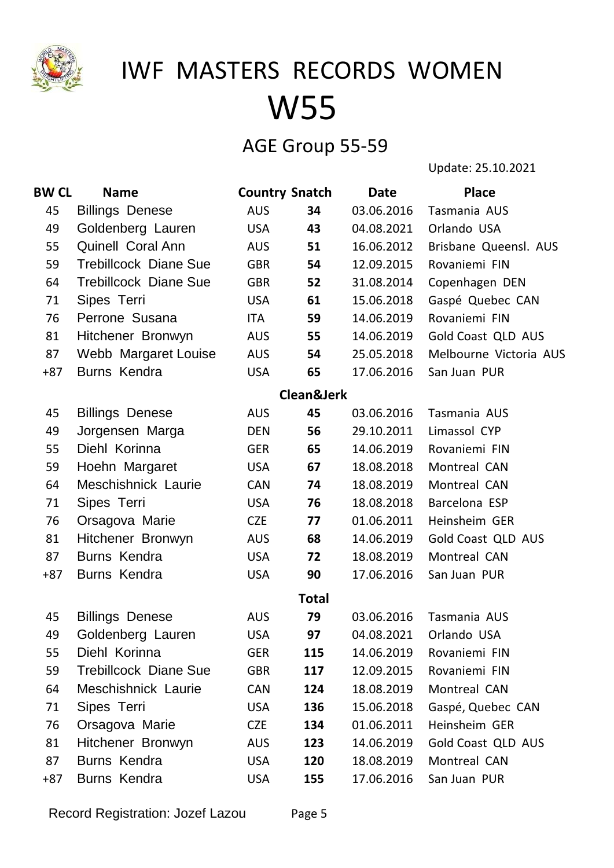

### AGE Group 55-59

Update: 25.10.2021

| <b>BW CL</b> | <b>Name</b>                  | <b>Country Snatch</b> |              | <b>Date</b> | <b>Place</b>           |
|--------------|------------------------------|-----------------------|--------------|-------------|------------------------|
| 45           | <b>Billings Denese</b>       | <b>AUS</b>            | 34           | 03.06.2016  | Tasmania AUS           |
| 49           | Goldenberg Lauren            | <b>USA</b>            | 43           | 04.08.2021  | Orlando USA            |
| 55           | Quinell Coral Ann            | <b>AUS</b>            | 51           | 16.06.2012  | Brisbane Queensl. AUS  |
| 59           | <b>Trebillcock Diane Sue</b> | <b>GBR</b>            | 54           | 12.09.2015  | Rovaniemi FIN          |
| 64           | <b>Trebillcock Diane Sue</b> | <b>GBR</b>            | 52           | 31.08.2014  | Copenhagen DEN         |
| 71           | Sipes Terri                  | <b>USA</b>            | 61           | 15.06.2018  | Gaspé Quebec CAN       |
| 76           | Perrone Susana               | <b>ITA</b>            | 59           | 14.06.2019  | Rovaniemi FIN          |
| 81           | Hitchener Bronwyn            | <b>AUS</b>            | 55           | 14.06.2019  | Gold Coast QLD AUS     |
| 87           | Webb Margaret Louise         | <b>AUS</b>            | 54           | 25.05.2018  | Melbourne Victoria AUS |
| $+87$        | <b>Burns Kendra</b>          | <b>USA</b>            | 65           | 17.06.2016  | San Juan PUR           |
|              |                              |                       | Clean&Jerk   |             |                        |
| 45           | <b>Billings Denese</b>       | <b>AUS</b>            | 45           | 03.06.2016  | Tasmania AUS           |
| 49           | Jorgensen Marga              | <b>DEN</b>            | 56           | 29.10.2011  | Limassol CYP           |
| 55           | Diehl Korinna                | <b>GER</b>            | 65           | 14.06.2019  | Rovaniemi FIN          |
| 59           | Hoehn Margaret               | <b>USA</b>            | 67           | 18.08.2018  | Montreal CAN           |
| 64           | Meschishnick Laurie          | <b>CAN</b>            | 74           | 18.08.2019  | Montreal CAN           |
| 71           | Sipes Terri                  | <b>USA</b>            | 76           | 18.08.2018  | Barcelona ESP          |
| 76           | Orsagova Marie               | <b>CZE</b>            | 77           | 01.06.2011  | Heinsheim GER          |
| 81           | Hitchener Bronwyn            | <b>AUS</b>            | 68           | 14.06.2019  | Gold Coast QLD AUS     |
| 87           | Burns Kendra                 | <b>USA</b>            | 72           | 18.08.2019  | Montreal CAN           |
| $+87$        | Burns Kendra                 | <b>USA</b>            | 90           | 17.06.2016  | San Juan PUR           |
|              |                              |                       | <b>Total</b> |             |                        |
| 45           | <b>Billings Denese</b>       | <b>AUS</b>            | 79           | 03.06.2016  | Tasmania AUS           |
| 49           | Goldenberg Lauren            | <b>USA</b>            | 97           | 04.08.2021  | Orlando USA            |
| 55           | Diehl Korinna                | <b>GER</b>            | 115          | 14.06.2019  | Rovaniemi FIN          |
| 59           | <b>Trebillcock Diane Sue</b> | <b>GBR</b>            | 117          | 12.09.2015  | Rovaniemi FIN          |
| 64           | Meschishnick Laurie          | <b>CAN</b>            | 124          | 18.08.2019  | Montreal CAN           |
| 71           | Sipes Terri                  | <b>USA</b>            | 136          | 15.06.2018  | Gaspé, Quebec CAN      |
| 76           | Orsagova Marie               | <b>CZE</b>            | 134          | 01.06.2011  | Heinsheim GER          |
| 81           | Hitchener Bronwyn            | <b>AUS</b>            | 123          | 14.06.2019  | Gold Coast QLD AUS     |
| 87           | Burns Kendra                 | <b>USA</b>            | 120          | 18.08.2019  | Montreal CAN           |
| $+87$        | <b>Burns Kendra</b>          | <b>USA</b>            | 155          | 17.06.2016  | San Juan PUR           |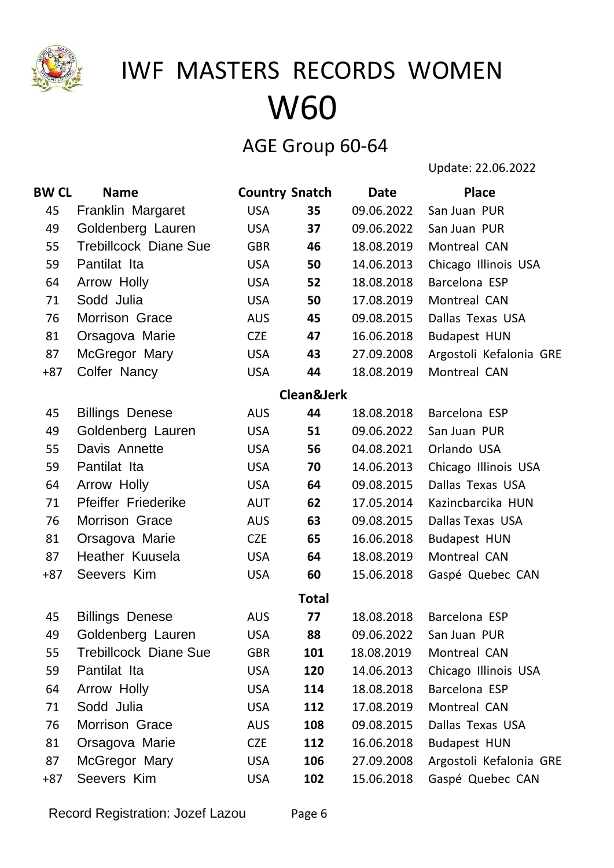

### AGE Group 60-64

Update: 22.06.2022

| <b>BW CL</b> | <b>Name</b>                  | <b>Country Snatch</b> |                       | <b>Date</b> | <b>Place</b>            |
|--------------|------------------------------|-----------------------|-----------------------|-------------|-------------------------|
| 45           | Franklin Margaret            | <b>USA</b>            | 35                    | 09.06.2022  | San Juan PUR            |
| 49           | Goldenberg Lauren            | <b>USA</b>            | 37                    | 09.06.2022  | San Juan PUR            |
| 55           | <b>Trebillcock Diane Sue</b> | <b>GBR</b>            | 46                    | 18.08.2019  | Montreal CAN            |
| 59           | Pantilat Ita                 | <b>USA</b>            | 50                    | 14.06.2013  | Chicago Illinois USA    |
| 64           | Arrow Holly                  | <b>USA</b>            | 52                    | 18.08.2018  | Barcelona ESP           |
| 71           | Sodd Julia                   | <b>USA</b>            | 50                    | 17.08.2019  | Montreal CAN            |
| 76           | Morrison Grace               | <b>AUS</b>            | 45                    | 09.08.2015  | Dallas Texas USA        |
| 81           | Orsagova Marie               | <b>CZE</b>            | 47                    | 16.06.2018  | <b>Budapest HUN</b>     |
| 87           | McGregor Mary                | <b>USA</b>            | 43                    | 27.09.2008  | Argostoli Kefalonia GRE |
| $+87$        | Colfer Nancy                 | <b>USA</b>            | 44                    | 18.08.2019  | Montreal CAN            |
|              |                              |                       | <b>Clean&amp;Jerk</b> |             |                         |
| 45           | <b>Billings Denese</b>       | <b>AUS</b>            | 44                    | 18.08.2018  | Barcelona ESP           |
| 49           | Goldenberg Lauren            | <b>USA</b>            | 51                    | 09.06.2022  | San Juan PUR            |
| 55           | Davis Annette                | <b>USA</b>            | 56                    | 04.08.2021  | Orlando USA             |
| 59           | Pantilat Ita                 | <b>USA</b>            | 70                    | 14.06.2013  | Chicago Illinois USA    |
| 64           | Arrow Holly                  | <b>USA</b>            | 64                    | 09.08.2015  | Dallas Texas USA        |
| 71           | <b>Pfeiffer Friederike</b>   | <b>AUT</b>            | 62                    | 17.05.2014  | Kazincbarcika HUN       |
| 76           | Morrison Grace               | <b>AUS</b>            | 63                    | 09.08.2015  | Dallas Texas USA        |
| 81           | Orsagova Marie               | <b>CZE</b>            | 65                    | 16.06.2018  | <b>Budapest HUN</b>     |
| 87           | Heather Kuusela              | <b>USA</b>            | 64                    | 18.08.2019  | Montreal CAN            |
| $+87$        | Seevers Kim                  | <b>USA</b>            | 60                    | 15.06.2018  | Gaspé Quebec CAN        |
|              |                              |                       | <b>Total</b>          |             |                         |
| 45           | <b>Billings Denese</b>       | <b>AUS</b>            | 77                    | 18.08.2018  | Barcelona ESP           |
| 49           | Goldenberg Lauren            | <b>USA</b>            | 88                    | 09.06.2022  | San Juan PUR            |
| 55           | Trebillcock Diane Sue        | <b>GBR</b>            | 101                   | 18.08.2019  | Montreal CAN            |
| 59           | Pantilat Ita                 | <b>USA</b>            | 120                   | 14.06.2013  | Chicago Illinois USA    |
| 64           | Arrow Holly                  | <b>USA</b>            | 114                   | 18.08.2018  | Barcelona ESP           |
| 71           | Sodd Julia                   | <b>USA</b>            | 112                   | 17.08.2019  | Montreal CAN            |
| 76           | Morrison Grace               | <b>AUS</b>            | 108                   | 09.08.2015  | Dallas Texas USA        |
| 81           | Orsagova Marie               | <b>CZE</b>            | 112                   | 16.06.2018  | <b>Budapest HUN</b>     |
| 87           | McGregor Mary                | <b>USA</b>            | 106                   | 27.09.2008  | Argostoli Kefalonia GRE |
| $+87$        | Seevers Kim                  | <b>USA</b>            | 102                   | 15.06.2018  | Gaspé Quebec CAN        |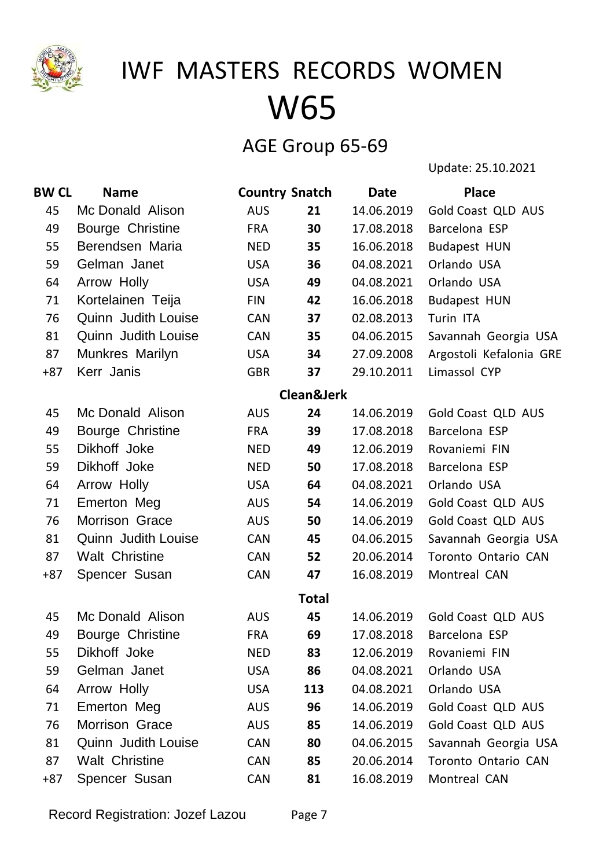

### AGE Group 65-69

Update: 25.10.2021

| <b>BW CL</b> | <b>Name</b>                | <b>Country Snatch</b> |                       | <b>Date</b> | <b>Place</b>              |
|--------------|----------------------------|-----------------------|-----------------------|-------------|---------------------------|
| 45           | Mc Donald Alison           | <b>AUS</b>            | 21                    | 14.06.2019  | Gold Coast QLD AUS        |
| 49           | Bourge Christine           | <b>FRA</b>            | 30                    | 17.08.2018  | Barcelona ESP             |
| 55           | Berendsen Maria            | <b>NED</b>            | 35                    | 16.06.2018  | <b>Budapest HUN</b>       |
| 59           | Gelman Janet               | <b>USA</b>            | 36                    | 04.08.2021  | Orlando USA               |
| 64           | Arrow Holly                | <b>USA</b>            | 49                    | 04.08.2021  | Orlando USA               |
| 71           | Kortelainen Teija          | <b>FIN</b>            | 42                    | 16.06.2018  | <b>Budapest HUN</b>       |
| 76           | <b>Quinn Judith Louise</b> | <b>CAN</b>            | 37                    | 02.08.2013  | Turin ITA                 |
| 81           | <b>Quinn Judith Louise</b> | <b>CAN</b>            | 35                    | 04.06.2015  | Savannah Georgia USA      |
| 87           | Munkres Marilyn            | <b>USA</b>            | 34                    | 27.09.2008  | Argostoli Kefalonia GRE   |
| $+87$        | Kerr Janis                 | <b>GBR</b>            | 37                    | 29.10.2011  | Limassol CYP              |
|              |                            |                       | <b>Clean&amp;Jerk</b> |             |                           |
| 45           | Mc Donald Alison           | <b>AUS</b>            | 24                    | 14.06.2019  | <b>Gold Coast QLD AUS</b> |
| 49           | Bourge Christine           | <b>FRA</b>            | 39                    | 17.08.2018  | Barcelona ESP             |
| 55           | Dikhoff Joke               | <b>NED</b>            | 49                    | 12.06.2019  | Rovaniemi FIN             |
| 59           | Dikhoff Joke               | <b>NED</b>            | 50                    | 17.08.2018  | Barcelona ESP             |
| 64           | Arrow Holly                | <b>USA</b>            | 64                    | 04.08.2021  | Orlando USA               |
| 71           | Emerton Meg                | <b>AUS</b>            | 54                    | 14.06.2019  | Gold Coast QLD AUS        |
| 76           | <b>Morrison Grace</b>      | <b>AUS</b>            | 50                    | 14.06.2019  | Gold Coast QLD AUS        |
| 81           | <b>Quinn Judith Louise</b> | <b>CAN</b>            | 45                    | 04.06.2015  | Savannah Georgia USA      |
| 87           | <b>Walt Christine</b>      | <b>CAN</b>            | 52                    | 20.06.2014  | Toronto Ontario CAN       |
| $+87$        | Spencer Susan              | <b>CAN</b>            | 47                    | 16.08.2019  | Montreal CAN              |
|              |                            |                       | <b>Total</b>          |             |                           |
| 45           | Mc Donald Alison           | <b>AUS</b>            | 45                    | 14.06.2019  | Gold Coast QLD AUS        |
| 49           | <b>Bourge Christine</b>    | <b>FRA</b>            | 69                    | 17.08.2018  | Barcelona ESP             |
| 55           | Dikhoff Joke               | <b>NED</b>            | 83                    | 12.06.2019  | Rovaniemi FIN             |
| 59           | Gelman Janet               | <b>USA</b>            | 86                    | 04.08.2021  | Orlando USA               |
| 64           | Arrow Holly                | <b>USA</b>            | 113                   | 04.08.2021  | Orlando USA               |
| 71           | Emerton Meg                | <b>AUS</b>            | 96                    | 14.06.2019  | Gold Coast QLD AUS        |
| 76           | Morrison Grace             | <b>AUS</b>            | 85                    | 14.06.2019  | Gold Coast QLD AUS        |
| 81           | Quinn Judith Louise        | <b>CAN</b>            | 80                    | 04.06.2015  | Savannah Georgia USA      |
| 87           | <b>Walt Christine</b>      | <b>CAN</b>            | 85                    | 20.06.2014  | Toronto Ontario CAN       |
| $+87$        | Spencer Susan              | <b>CAN</b>            | 81                    | 16.08.2019  | Montreal CAN              |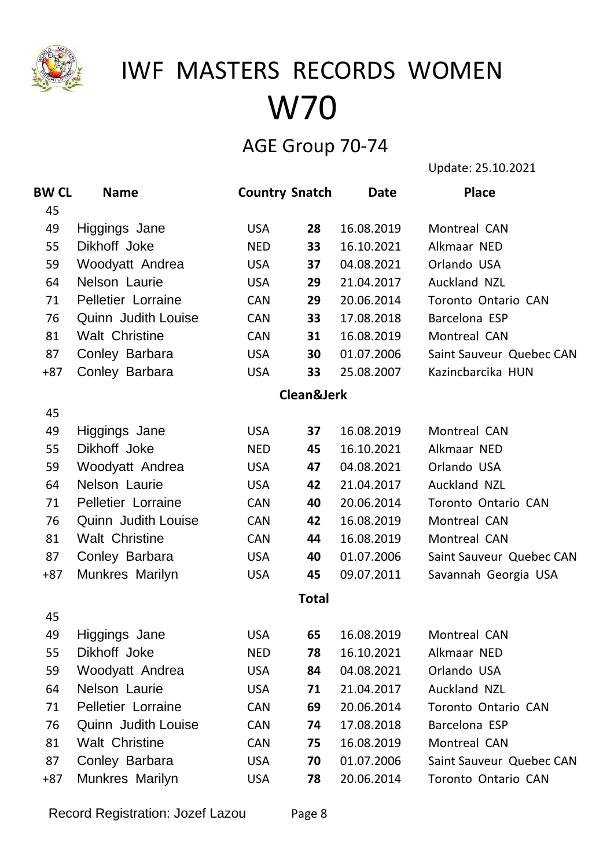

### AGE Group 70-74

Update: 25.10.2021

| <b>BW CL</b> | <b>Name</b>                | <b>Country Snatch</b> |              | <b>Date</b> | <b>Place</b>               |
|--------------|----------------------------|-----------------------|--------------|-------------|----------------------------|
| 45           |                            |                       |              |             |                            |
| 49           | Higgings Jane              | <b>USA</b>            | 28           | 16.08.2019  | Montreal CAN               |
| 55           | Dikhoff Joke               | <b>NED</b>            | 33           | 16.10.2021  | Alkmaar NED                |
| 59           | Woodyatt Andrea            | <b>USA</b>            | 37           | 04.08.2021  | Orlando USA                |
| 64           | Nelson Laurie              | <b>USA</b>            | 29           | 21.04.2017  | Auckland NZL               |
| 71           | Pelletier Lorraine         | <b>CAN</b>            | 29           | 20.06.2014  | Toronto Ontario CAN        |
| 76           | <b>Quinn Judith Louise</b> | <b>CAN</b>            | 33           | 17.08.2018  | Barcelona ESP              |
| 81           | <b>Walt Christine</b>      | <b>CAN</b>            | 31           | 16.08.2019  | Montreal CAN               |
| 87           | Conley Barbara             | <b>USA</b>            | 30           | 01.07.2006  | Saint Sauveur Quebec CAN   |
| $+87$        | Conley Barbara             | <b>USA</b>            | 33           | 25.08.2007  | Kazincbarcika HUN          |
|              |                            |                       | Clean&Jerk   |             |                            |
| 45           |                            |                       |              |             |                            |
| 49           | Higgings Jane              | <b>USA</b>            | 37           | 16.08.2019  | Montreal CAN               |
| 55           | Dikhoff Joke               | <b>NED</b>            | 45           | 16.10.2021  | Alkmaar NED                |
| 59           | Woodyatt Andrea            | <b>USA</b>            | 47           | 04.08.2021  | Orlando USA                |
| 64           | Nelson Laurie              | <b>USA</b>            | 42           | 21.04.2017  | Auckland NZL               |
| 71           | Pelletier Lorraine         | <b>CAN</b>            | 40           | 20.06.2014  | <b>Toronto Ontario CAN</b> |
| 76           | <b>Quinn Judith Louise</b> | <b>CAN</b>            | 42           | 16.08.2019  | Montreal CAN               |
| 81           | <b>Walt Christine</b>      | <b>CAN</b>            | 44           | 16.08.2019  | Montreal CAN               |
| 87           | Conley Barbara             | <b>USA</b>            | 40           | 01.07.2006  | Saint Sauveur Quebec CAN   |
| $+87$        | Munkres Marilyn            | <b>USA</b>            | 45           | 09.07.2011  | Savannah Georgia USA       |
|              |                            |                       | <b>Total</b> |             |                            |
| 45           |                            |                       |              |             |                            |
| 49           | Higgings Jane              | <b>USA</b>            | 65           | 16.08.2019  | Montreal CAN               |
| 55           | Dikhoff Joke               | <b>NED</b>            | 78           | 16.10.2021  | Alkmaar NED                |
| 59           | Woodyatt Andrea            | <b>USA</b>            | 84           | 04.08.2021  | Orlando USA                |
| 64           | Nelson Laurie              | <b>USA</b>            | 71           | 21.04.2017  | Auckland NZL               |
| 71           | Pelletier Lorraine         | <b>CAN</b>            | 69           | 20.06.2014  | <b>Toronto Ontario CAN</b> |
| 76           | <b>Quinn Judith Louise</b> | <b>CAN</b>            | 74           | 17.08.2018  | Barcelona ESP              |
| 81           | <b>Walt Christine</b>      | <b>CAN</b>            | 75           | 16.08.2019  | Montreal CAN               |
| 87           | Conley Barbara             | <b>USA</b>            | 70           | 01.07.2006  | Saint Sauveur Quebec CAN   |
| +87          | Munkres Marilyn            | <b>USA</b>            | 78           | 20.06.2014  | Toronto Ontario CAN        |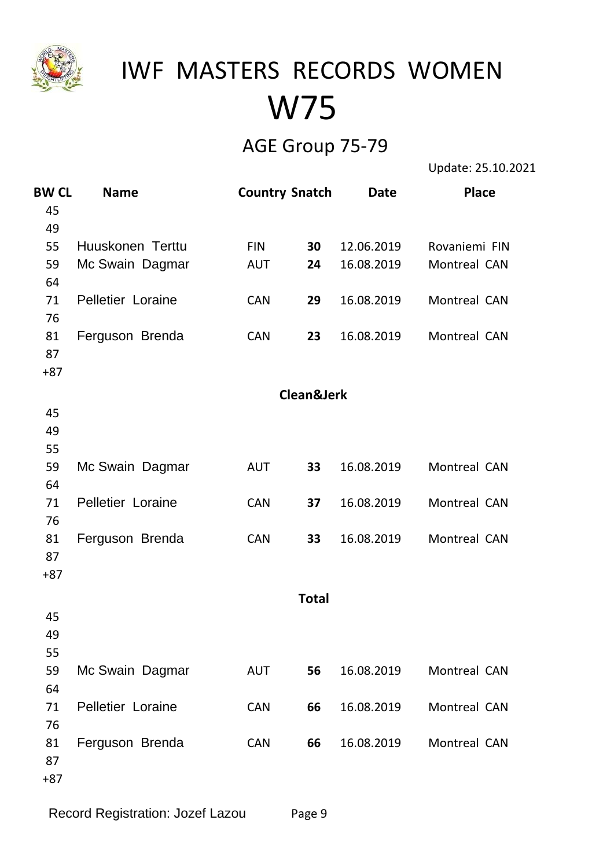

### AGE Group 75-79

Update: 25.10.2021

| <b>BW CL</b> | <b>Name</b>       | <b>Country Snatch</b> |              | Date       | <b>Place</b>  |
|--------------|-------------------|-----------------------|--------------|------------|---------------|
| 45           |                   |                       |              |            |               |
| 49           |                   |                       |              |            |               |
| 55           | Huuskonen Terttu  | <b>FIN</b>            | 30           | 12.06.2019 | Rovaniemi FIN |
| 59           | Mc Swain Dagmar   | <b>AUT</b>            | 24           | 16.08.2019 | Montreal CAN  |
| 64           |                   |                       |              |            |               |
| 71           | Pelletier Loraine | <b>CAN</b>            | 29           | 16.08.2019 | Montreal CAN  |
| 76           |                   |                       |              |            |               |
| 81           | Ferguson Brenda   | <b>CAN</b>            | 23           | 16.08.2019 | Montreal CAN  |
| 87           |                   |                       |              |            |               |
| $+87$        |                   |                       |              |            |               |
|              |                   |                       | Clean&Jerk   |            |               |
| 45           |                   |                       |              |            |               |
| 49           |                   |                       |              |            |               |
| 55           |                   |                       |              |            |               |
| 59           | Mc Swain Dagmar   | <b>AUT</b>            | 33           | 16.08.2019 | Montreal CAN  |
| 64           |                   |                       |              |            |               |
| 71           | Pelletier Loraine | <b>CAN</b>            | 37           | 16.08.2019 | Montreal CAN  |
| 76           |                   |                       |              |            |               |
| 81           | Ferguson Brenda   | <b>CAN</b>            | 33           | 16.08.2019 | Montreal CAN  |
| 87           |                   |                       |              |            |               |
| $+87$        |                   |                       |              |            |               |
|              |                   |                       | <b>Total</b> |            |               |
| 45           |                   |                       |              |            |               |
| 49           |                   |                       |              |            |               |
| 55           |                   |                       |              |            |               |
| 59           | Mc Swain Dagmar   | <b>AUT</b>            | 56           | 16.08.2019 | Montreal CAN  |
| 64           |                   |                       |              |            |               |
| 71           | Pelletier Loraine | <b>CAN</b>            | 66           | 16.08.2019 | Montreal CAN  |
| 76           |                   |                       |              |            |               |
| 81           | Ferguson Brenda   | <b>CAN</b>            | 66           | 16.08.2019 | Montreal CAN  |
| 87           |                   |                       |              |            |               |
| $+87$        |                   |                       |              |            |               |
|              |                   |                       |              |            |               |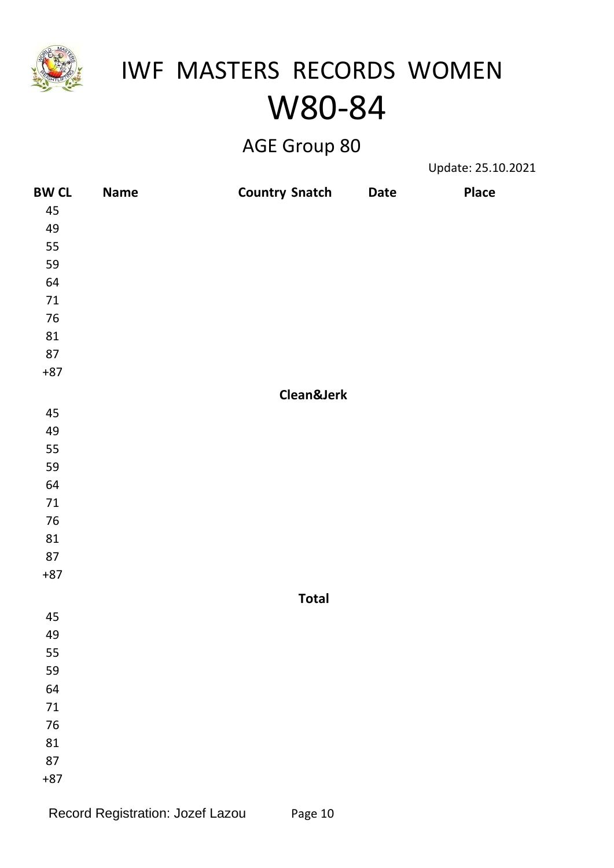

### AGE Group 80

Update: 25.10.2021

| <b>BW CL</b> | Name | <b>Country Snatch</b> | <b>Date</b> | <b>Place</b> |
|--------------|------|-----------------------|-------------|--------------|
| 45           |      |                       |             |              |
| 49           |      |                       |             |              |
| 55           |      |                       |             |              |
| 59           |      |                       |             |              |
| 64           |      |                       |             |              |
| $71\,$       |      |                       |             |              |
| $76\,$       |      |                       |             |              |
| 81           |      |                       |             |              |
| $87\,$       |      |                       |             |              |
| $+87$        |      |                       |             |              |
|              |      | Clean&Jerk            |             |              |
| 45           |      |                       |             |              |
| 49           |      |                       |             |              |
| 55           |      |                       |             |              |
| 59           |      |                       |             |              |
| 64           |      |                       |             |              |
| $71\,$       |      |                       |             |              |
| $76\,$       |      |                       |             |              |
| 81           |      |                       |             |              |
| $87\,$       |      |                       |             |              |
| $+87$        |      |                       |             |              |
|              |      | <b>Total</b>          |             |              |
| 45           |      |                       |             |              |
| 49           |      |                       |             |              |
| 55           |      |                       |             |              |
| 59           |      |                       |             |              |
| 64           |      |                       |             |              |
| $71\,$       |      |                       |             |              |
| $76\,$       |      |                       |             |              |
| 81           |      |                       |             |              |
| 87           |      |                       |             |              |
| $+87$        |      |                       |             |              |
|              |      |                       |             |              |